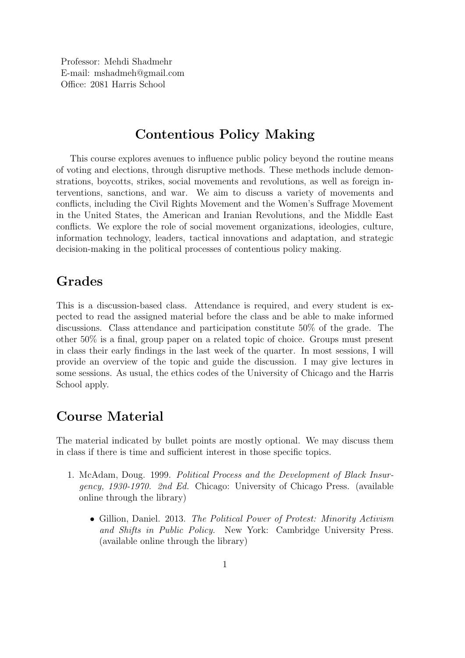Professor: Mehdi Shadmehr E-mail: mshadmeh@gmail.com Office: 2081 Harris School

## Contentious Policy Making

This course explores avenues to influence public policy beyond the routine means of voting and elections, through disruptive methods. These methods include demonstrations, boycotts, strikes, social movements and revolutions, as well as foreign interventions, sanctions, and war. We aim to discuss a variety of movements and conflicts, including the Civil Rights Movement and the Women's Suffrage Movement in the United States, the American and Iranian Revolutions, and the Middle East conflicts. We explore the role of social movement organizations, ideologies, culture, information technology, leaders, tactical innovations and adaptation, and strategic decision-making in the political processes of contentious policy making.

## Grades

This is a discussion-based class. Attendance is required, and every student is expected to read the assigned material before the class and be able to make informed discussions. Class attendance and participation constitute 50% of the grade. The other 50% is a final, group paper on a related topic of choice. Groups must present in class their early findings in the last week of the quarter. In most sessions, I will provide an overview of the topic and guide the discussion. I may give lectures in some sessions. As usual, the ethics codes of the University of Chicago and the Harris School apply.

## Course Material

The material indicated by bullet points are mostly optional. We may discuss them in class if there is time and sufficient interest in those specific topics.

- 1. McAdam, Doug. 1999. Political Process and the Development of Black Insurgency, 1930-1970. 2nd Ed. Chicago: University of Chicago Press. (available online through the library)
	- Gillion, Daniel. 2013. The Political Power of Protest: Minority Activism and Shifts in Public Policy. New York: Cambridge University Press. (available online through the library)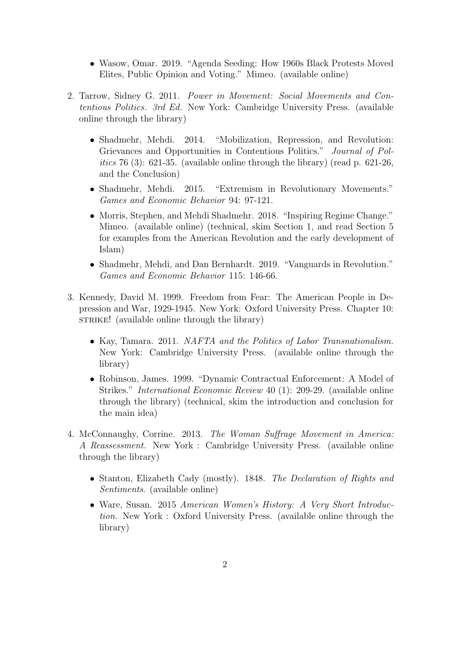- Wasow, Omar. 2019. "Agenda Seeding: How 1960s Black Protests Moved Elites, Public Opinion and Voting." Mimeo. (available online)
- 2. Tarrow, Sidney G. 2011. Power in Movement: Social Movements and Contentious Politics. 3rd Ed. New York: Cambridge University Press. (available online through the library)
	- Shadmehr, Mehdi. 2014. "Mobilization, Repression, and Revolution: Grievances and Opportunities in Contentious Politics." Journal of Politics 76 (3): 621-35. (available online through the library) (read p. 621-26, and the Conclusion)
	- Shadmehr, Mehdi. 2015. "Extremism in Revolutionary Movements." Games and Economic Behavior 94: 97-121.
	- Morris, Stephen, and Mehdi Shadmehr. 2018. "Inspiring Regime Change." Mimeo. (available online) (technical, skim Section 1, and read Section 5 for examples from the American Revolution and the early development of Islam)
	- Shadmehr, Mehdi, and Dan Bernhardt. 2019. "Vanguards in Revolution." Games and Economic Behavior 115: 146-66.
- 3. Kennedy, David M. 1999. Freedom from Fear: The American People in Depression and War, 1929-1945. New York: Oxford University Press. Chapter 10: strike! (available online through the library)
	- Kay, Tamara. 2011. *NAFTA and the Politics of Labor Transnationalism*. New York: Cambridge University Press. (available online through the library)
	- Robinson, James. 1999. "Dynamic Contractual Enforcement: A Model of Strikes." International Economic Review 40 (1): 209-29. (available online through the library) (technical, skim the introduction and conclusion for the main idea)
- 4. McConnaughy, Corrine. 2013. The Woman Suffrage Movement in America: A Reassessment. New York : Cambridge University Press. (available online through the library)
	- Stanton, Elizabeth Cady (mostly). 1848. The Declaration of Rights and Sentiments. (available online)
	- Ware, Susan. 2015 American Women's History: A Very Short Introduction. New York : Oxford University Press. (available online through the library)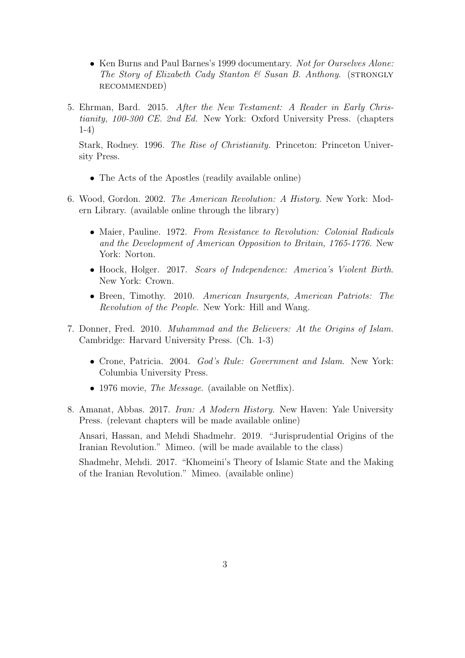- Ken Burns and Paul Barnes's 1999 documentary. Not for Ourselves Alone: The Story of Elizabeth Cady Stanton  $\mathcal B$  Susan B. Anthony. (STRONGLY recommended)
- 5. Ehrman, Bard. 2015. After the New Testament: A Reader in Early Christianity, 100-300 CE. 2nd Ed. New York: Oxford University Press. (chapters 1-4)

Stark, Rodney. 1996. The Rise of Christianity. Princeton: Princeton University Press.

- The Acts of the Apostles (readily available online)
- 6. Wood, Gordon. 2002. The American Revolution: A History. New York: Modern Library. (available online through the library)
	- Maier, Pauline. 1972. From Resistance to Revolution: Colonial Radicals and the Development of American Opposition to Britain, 1765-1776. New York: Norton.
	- Hoock, Holger. 2017. Scars of Independence: America's Violent Birth. New York: Crown.
	- Breen, Timothy. 2010. American Insurgents, American Patriots: The Revolution of the People. New York: Hill and Wang.
- 7. Donner, Fred. 2010. Muhammad and the Believers: At the Origins of Islam. Cambridge: Harvard University Press. (Ch. 1-3)
	- Crone, Patricia. 2004. God's Rule: Government and Islam. New York: Columbia University Press.
	- 1976 movie, *The Message*. (available on Netflix).
- 8. Amanat, Abbas. 2017. Iran: A Modern History. New Haven: Yale University Press. (relevant chapters will be made available online)

Ansari, Hassan, and Mehdi Shadmehr. 2019. "Jurisprudential Origins of the Iranian Revolution." Mimeo. (will be made available to the class)

Shadmehr, Mehdi. 2017. "Khomeini's Theory of Islamic State and the Making of the Iranian Revolution." Mimeo. (available online)